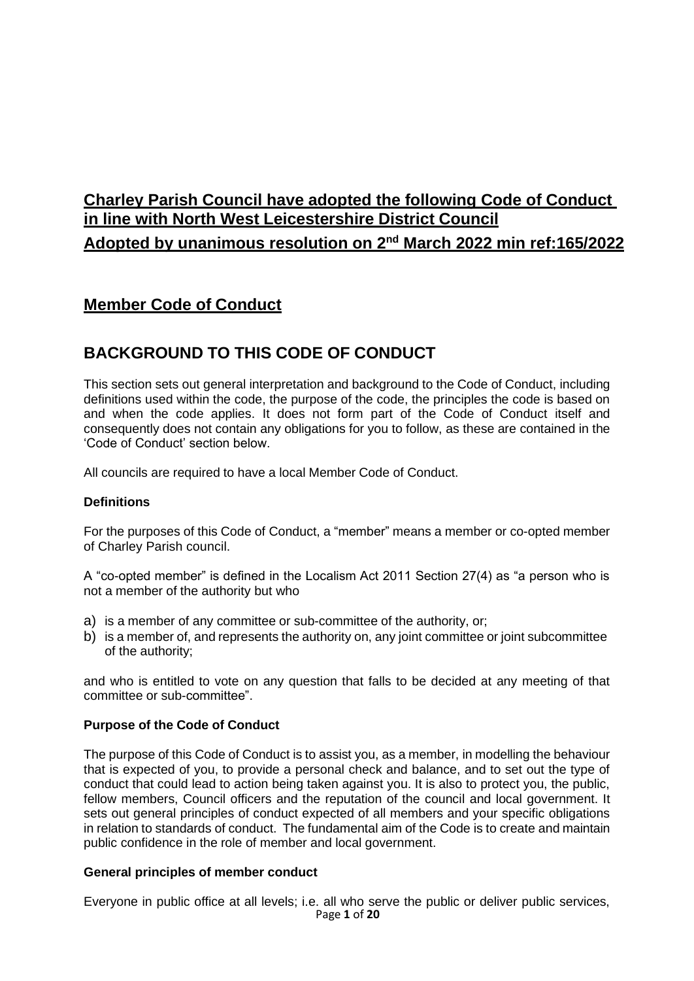# **Charley Parish Council have adopted the following Code of Conduct in line with North West Leicestershire District Council Adopted by unanimous resolution on 2nd March 2022 min ref:165/2022**

## **Member Code of Conduct**

## **BACKGROUND TO THIS CODE OF CONDUCT**

This section sets out general interpretation and background to the Code of Conduct, including definitions used within the code, the purpose of the code, the principles the code is based on and when the code applies. It does not form part of the Code of Conduct itself and consequently does not contain any obligations for you to follow, as these are contained in the 'Code of Conduct' section below.

All councils are required to have a local Member Code of Conduct.

## **Definitions**

For the purposes of this Code of Conduct, a "member" means a member or co-opted member of Charley Parish council.

A "co-opted member" is defined in the Localism Act 2011 Section 27(4) as "a person who is not a member of the authority but who

- a) is a member of any committee or sub-committee of the authority, or;
- b) is a member of, and represents the authority on, any joint committee or joint subcommittee of the authority;

and who is entitled to vote on any question that falls to be decided at any meeting of that committee or sub-committee".

#### **Purpose of the Code of Conduct**

The purpose of this Code of Conduct is to assist you, as a member, in modelling the behaviour that is expected of you, to provide a personal check and balance, and to set out the type of conduct that could lead to action being taken against you. It is also to protect you, the public, fellow members, Council officers and the reputation of the council and local government. It sets out general principles of conduct expected of all members and your specific obligations in relation to standards of conduct. The fundamental aim of the Code is to create and maintain public confidence in the role of member and local government.

#### **General principles of member conduct**

Page **1** of **20** Everyone in public office at all levels; i.e. all who serve the public or deliver public services,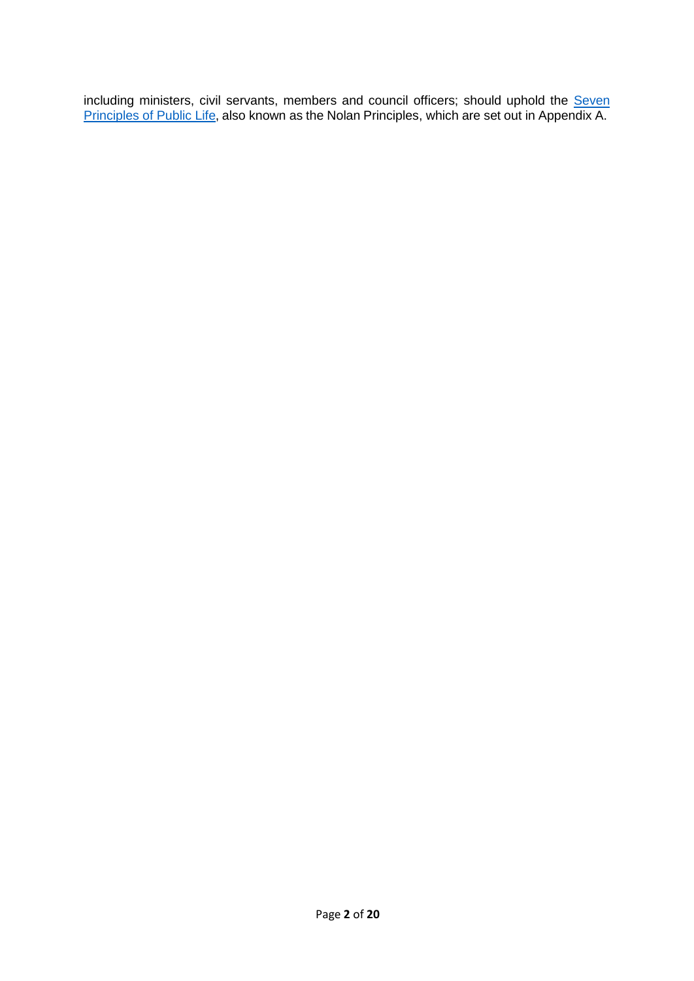including ministers, civil servants, members and council officers; should uphold the [Seven](https://www.gov.uk/government/publications/the-7-principles-of-public-life/the-7-principles-of-public-life--2) [Principles](https://www.gov.uk/government/publications/the-7-principles-of-public-life/the-7-principles-of-public-life--2) [of](https://www.gov.uk/government/publications/the-7-principles-of-public-life/the-7-principles-of-public-life--2) [Public](https://www.gov.uk/government/publications/the-7-principles-of-public-life/the-7-principles-of-public-life--2) [Life,](https://www.gov.uk/government/publications/the-7-principles-of-public-life/the-7-principles-of-public-life--2) also known as the Nolan Principles, which are set out in Appendix A.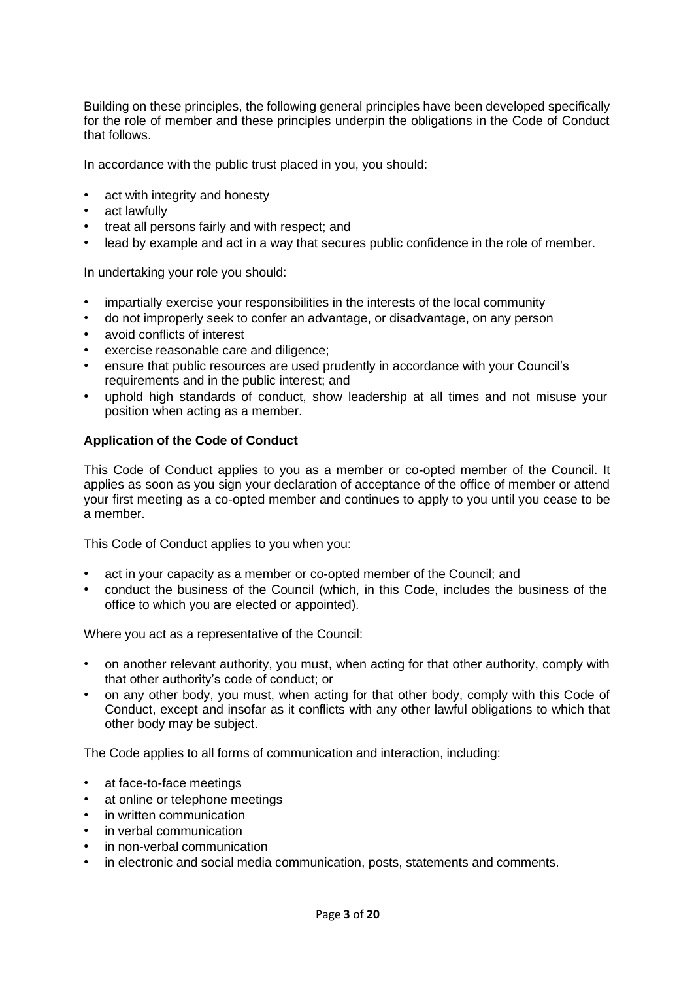Building on these principles, the following general principles have been developed specifically for the role of member and these principles underpin the obligations in the Code of Conduct that follows.

In accordance with the public trust placed in you, you should:

- act with integrity and honesty
- act lawfully
- treat all persons fairly and with respect; and
- lead by example and act in a way that secures public confidence in the role of member.

In undertaking your role you should:

- impartially exercise your responsibilities in the interests of the local community
- do not improperly seek to confer an advantage, or disadvantage, on any person
- avoid conflicts of interest
- exercise reasonable care and diligence;
- ensure that public resources are used prudently in accordance with your Council's requirements and in the public interest; and
- uphold high standards of conduct, show leadership at all times and not misuse your position when acting as a member.

## **Application of the Code of Conduct**

This Code of Conduct applies to you as a member or co-opted member of the Council. It applies as soon as you sign your declaration of acceptance of the office of member or attend your first meeting as a co-opted member and continues to apply to you until you cease to be a member.

This Code of Conduct applies to you when you:

- act in your capacity as a member or co-opted member of the Council; and
- conduct the business of the Council (which, in this Code, includes the business of the office to which you are elected or appointed).

Where you act as a representative of the Council:

- on another relevant authority, you must, when acting for that other authority, comply with that other authority's code of conduct; or
- on any other body, you must, when acting for that other body, comply with this Code of Conduct, except and insofar as it conflicts with any other lawful obligations to which that other body may be subject.

The Code applies to all forms of communication and interaction, including:

- at face-to-face meetings
- at online or telephone meetings
- in written communication
- in verbal communication
- in non-verbal communication
- in electronic and social media communication, posts, statements and comments.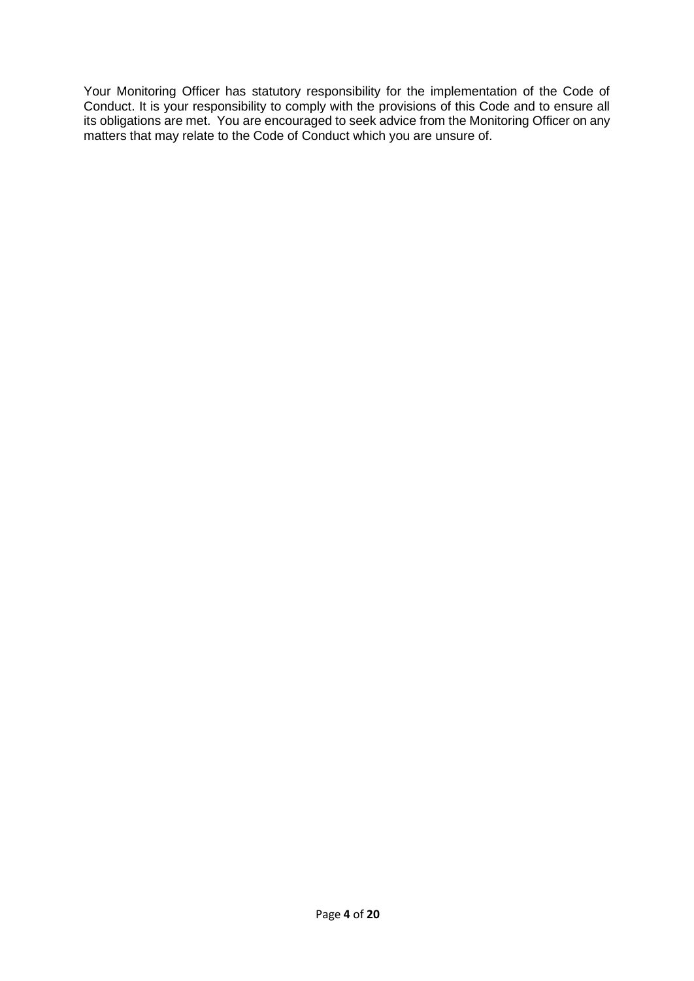Your Monitoring Officer has statutory responsibility for the implementation of the Code of Conduct. It is your responsibility to comply with the provisions of this Code and to ensure all its obligations are met. You are encouraged to seek advice from the Monitoring Officer on any matters that may relate to the Code of Conduct which you are unsure of.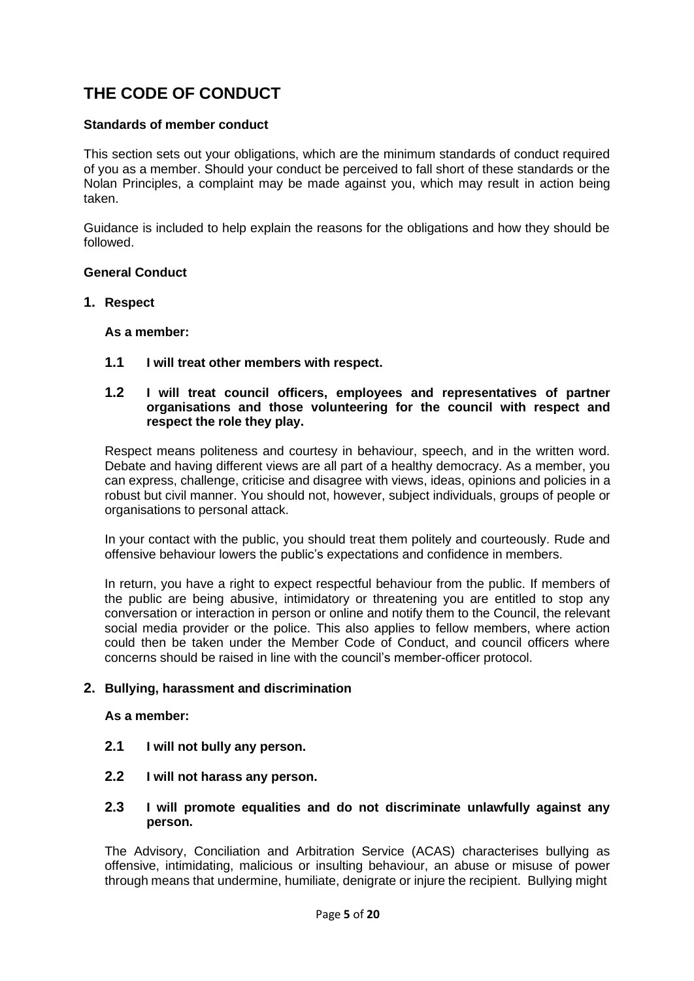# **THE CODE OF CONDUCT**

### **Standards of member conduct**

This section sets out your obligations, which are the minimum standards of conduct required of you as a member. Should your conduct be perceived to fall short of these standards or the Nolan Principles, a complaint may be made against you, which may result in action being taken.

Guidance is included to help explain the reasons for the obligations and how they should be followed.

#### **General Conduct**

#### **1. Respect**

**As a member:**

**1.1 I will treat other members with respect.**

#### **1.2 I will treat council officers, employees and representatives of partner organisations and those volunteering for the council with respect and respect the role they play.**

Respect means politeness and courtesy in behaviour, speech, and in the written word. Debate and having different views are all part of a healthy democracy. As a member, you can express, challenge, criticise and disagree with views, ideas, opinions and policies in a robust but civil manner. You should not, however, subject individuals, groups of people or organisations to personal attack.

In your contact with the public, you should treat them politely and courteously. Rude and offensive behaviour lowers the public's expectations and confidence in members.

In return, you have a right to expect respectful behaviour from the public. If members of the public are being abusive, intimidatory or threatening you are entitled to stop any conversation or interaction in person or online and notify them to the Council, the relevant social media provider or the police. This also applies to fellow members, where action could then be taken under the Member Code of Conduct, and council officers where concerns should be raised in line with the council's member-officer protocol.

#### **2. Bullying, harassment and discrimination**

#### **As a member:**

- **2.1 I will not bully any person.**
- **2.2 I will not harass any person.**

#### **2.3 I will promote equalities and do not discriminate unlawfully against any person.**

The Advisory, Conciliation and Arbitration Service (ACAS) characterises bullying as offensive, intimidating, malicious or insulting behaviour, an abuse or misuse of power through means that undermine, humiliate, denigrate or injure the recipient. Bullying might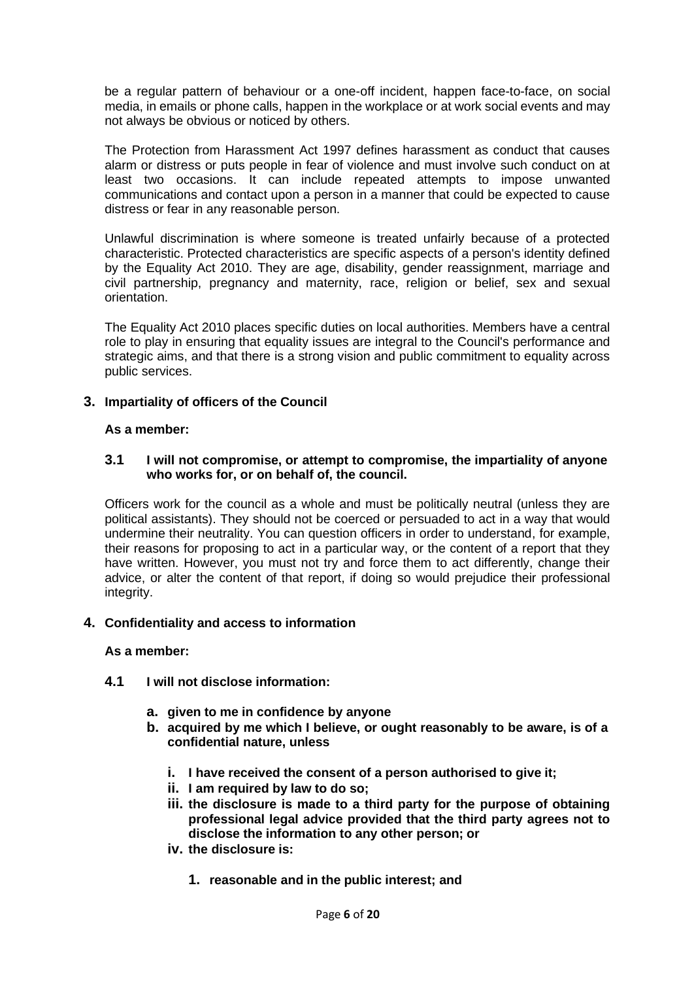be a regular pattern of behaviour or a one-off incident, happen face-to-face, on social media, in emails or phone calls, happen in the workplace or at work social events and may not always be obvious or noticed by others.

The Protection from Harassment Act 1997 defines harassment as conduct that causes alarm or distress or puts people in fear of violence and must involve such conduct on at least two occasions. It can include repeated attempts to impose unwanted communications and contact upon a person in a manner that could be expected to cause distress or fear in any reasonable person.

Unlawful discrimination is where someone is treated unfairly because of a protected characteristic. Protected characteristics are specific aspects of a person's identity defined by the Equality Act 2010. They are age, disability, gender reassignment, marriage and civil partnership, pregnancy and maternity, race, religion or belief, sex and sexual orientation.

The Equality Act 2010 places specific duties on local authorities. Members have a central role to play in ensuring that equality issues are integral to the Council's performance and strategic aims, and that there is a strong vision and public commitment to equality across public services.

## **3. Impartiality of officers of the Council**

#### **As a member:**

#### **3.1 I will not compromise, or attempt to compromise, the impartiality of anyone who works for, or on behalf of, the council.**

Officers work for the council as a whole and must be politically neutral (unless they are political assistants). They should not be coerced or persuaded to act in a way that would undermine their neutrality. You can question officers in order to understand, for example, their reasons for proposing to act in a particular way, or the content of a report that they have written. However, you must not try and force them to act differently, change their advice, or alter the content of that report, if doing so would prejudice their professional integrity.

#### **4. Confidentiality and access to information**

#### **As a member:**

- **4.1 I will not disclose information:**
	- **a. given to me in confidence by anyone**
	- **b. acquired by me which I believe, or ought reasonably to be aware, is of a confidential nature, unless**
		- **i. I have received the consent of a person authorised to give it;**
		- **ii. I am required by law to do so;**
		- **iii. the disclosure is made to a third party for the purpose of obtaining professional legal advice provided that the third party agrees not to disclose the information to any other person; or**
		- **iv. the disclosure is:**
			- **1. reasonable and in the public interest; and**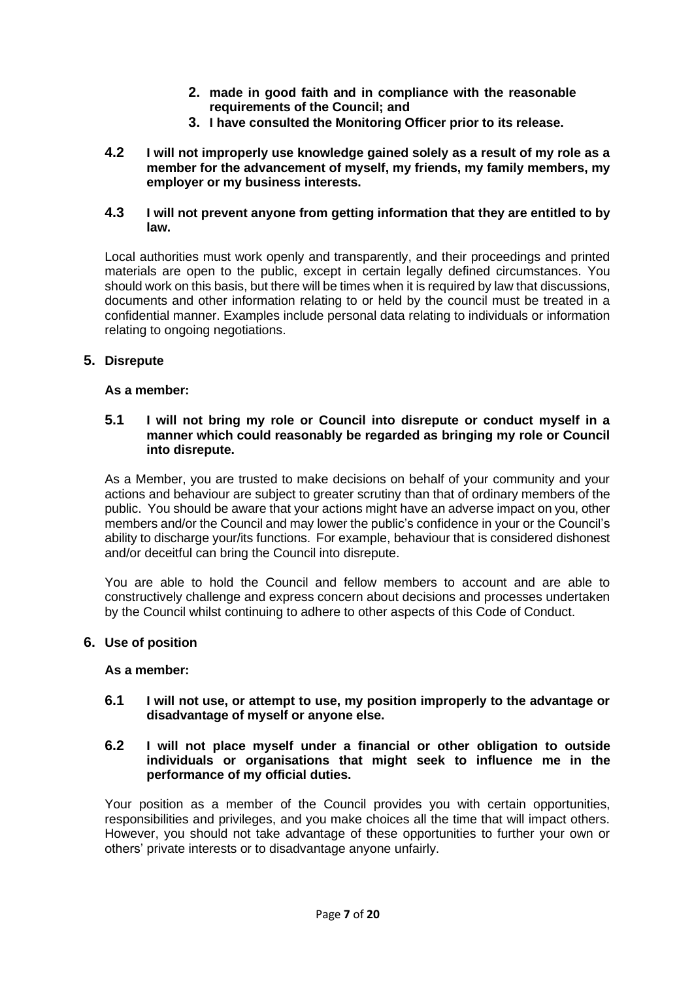- **2. made in good faith and in compliance with the reasonable requirements of the Council; and**
- **3. I have consulted the Monitoring Officer prior to its release.**
- **4.2 I will not improperly use knowledge gained solely as a result of my role as a member for the advancement of myself, my friends, my family members, my employer or my business interests.**

#### **4.3 I will not prevent anyone from getting information that they are entitled to by law.**

Local authorities must work openly and transparently, and their proceedings and printed materials are open to the public, except in certain legally defined circumstances. You should work on this basis, but there will be times when it is required by law that discussions, documents and other information relating to or held by the council must be treated in a confidential manner. Examples include personal data relating to individuals or information relating to ongoing negotiations.

## **5. Disrepute**

#### **As a member:**

#### **5.1 I will not bring my role or Council into disrepute or conduct myself in a manner which could reasonably be regarded as bringing my role or Council into disrepute.**

As a Member, you are trusted to make decisions on behalf of your community and your actions and behaviour are subject to greater scrutiny than that of ordinary members of the public. You should be aware that your actions might have an adverse impact on you, other members and/or the Council and may lower the public's confidence in your or the Council's ability to discharge your/its functions. For example, behaviour that is considered dishonest and/or deceitful can bring the Council into disrepute.

You are able to hold the Council and fellow members to account and are able to constructively challenge and express concern about decisions and processes undertaken by the Council whilst continuing to adhere to other aspects of this Code of Conduct.

### **6. Use of position**

#### **As a member:**

**6.1 I will not use, or attempt to use, my position improperly to the advantage or disadvantage of myself or anyone else.**

#### **6.2 I will not place myself under a financial or other obligation to outside individuals or organisations that might seek to influence me in the performance of my official duties.**

Your position as a member of the Council provides you with certain opportunities, responsibilities and privileges, and you make choices all the time that will impact others. However, you should not take advantage of these opportunities to further your own or others' private interests or to disadvantage anyone unfairly.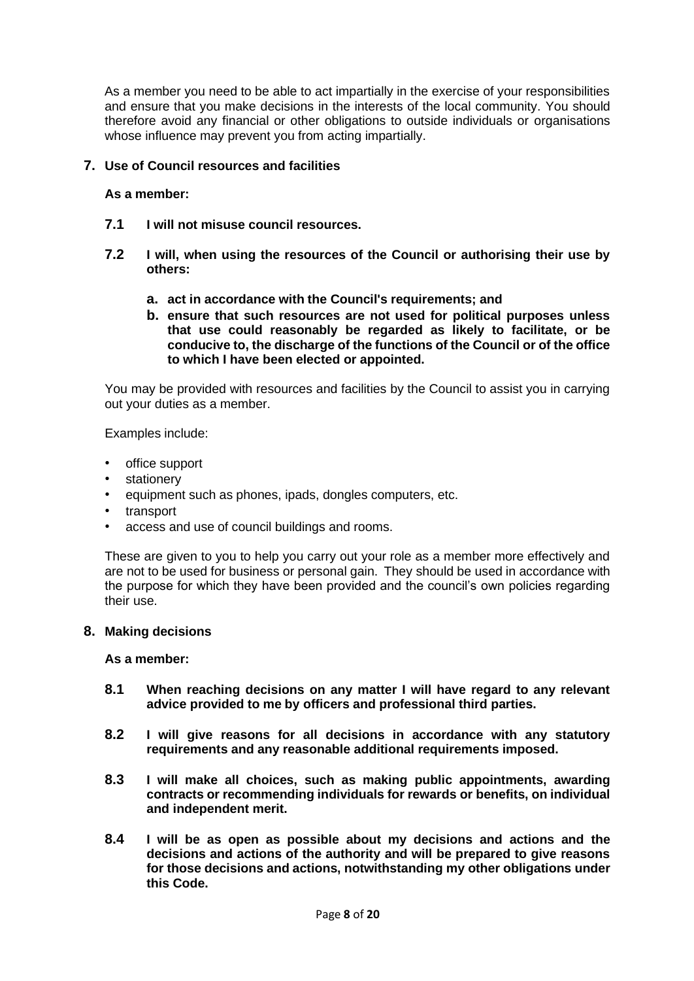As a member you need to be able to act impartially in the exercise of your responsibilities and ensure that you make decisions in the interests of the local community. You should therefore avoid any financial or other obligations to outside individuals or organisations whose influence may prevent you from acting impartially.

#### **7. Use of Council resources and facilities**

## **As a member:**

- **7.1 I will not misuse council resources.**
- **7.2 I will, when using the resources of the Council or authorising their use by others:**
	- **a. act in accordance with the Council's requirements; and**
	- **b. ensure that such resources are not used for political purposes unless that use could reasonably be regarded as likely to facilitate, or be conducive to, the discharge of the functions of the Council or of the office to which I have been elected or appointed.**

You may be provided with resources and facilities by the Council to assist you in carrying out your duties as a member.

Examples include:

- office support
- stationery
- equipment such as phones, ipads, dongles computers, etc.
- **transport**
- access and use of council buildings and rooms.

These are given to you to help you carry out your role as a member more effectively and are not to be used for business or personal gain. They should be used in accordance with the purpose for which they have been provided and the council's own policies regarding their use.

#### **8. Making decisions**

**As a member:**

- **8.1 When reaching decisions on any matter I will have regard to any relevant advice provided to me by officers and professional third parties.**
- **8.2 I will give reasons for all decisions in accordance with any statutory requirements and any reasonable additional requirements imposed.**
- **8.3 I will make all choices, such as making public appointments, awarding contracts or recommending individuals for rewards or benefits, on individual and independent merit.**
- **8.4 I will be as open as possible about my decisions and actions and the decisions and actions of the authority and will be prepared to give reasons for those decisions and actions, notwithstanding my other obligations under this Code.**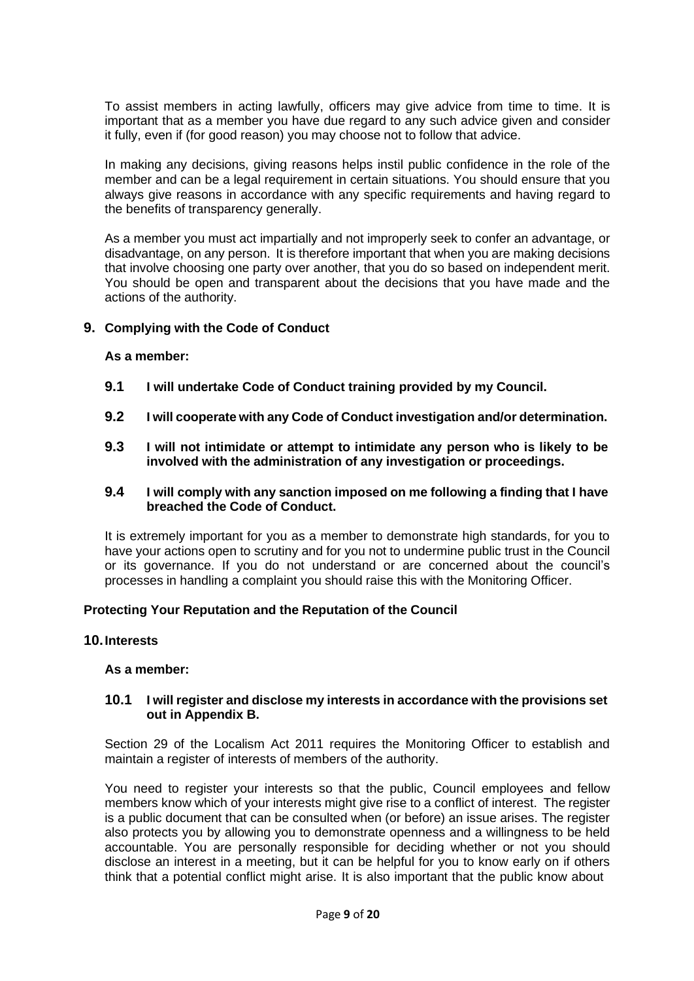To assist members in acting lawfully, officers may give advice from time to time. It is important that as a member you have due regard to any such advice given and consider it fully, even if (for good reason) you may choose not to follow that advice.

In making any decisions, giving reasons helps instil public confidence in the role of the member and can be a legal requirement in certain situations. You should ensure that you always give reasons in accordance with any specific requirements and having regard to the benefits of transparency generally.

As a member you must act impartially and not improperly seek to confer an advantage, or disadvantage, on any person. It is therefore important that when you are making decisions that involve choosing one party over another, that you do so based on independent merit. You should be open and transparent about the decisions that you have made and the actions of the authority.

#### **9. Complying with the Code of Conduct**

#### **As a member:**

- **9.1 I will undertake Code of Conduct training provided by my Council.**
- **9.2 I will cooperate with any Code of Conduct investigation and/or determination.**
- **9.3 I will not intimidate or attempt to intimidate any person who is likely to be involved with the administration of any investigation or proceedings.**

#### **9.4 I will comply with any sanction imposed on me following a finding that I have breached the Code of Conduct.**

It is extremely important for you as a member to demonstrate high standards, for you to have your actions open to scrutiny and for you not to undermine public trust in the Council or its governance. If you do not understand or are concerned about the council's processes in handling a complaint you should raise this with the Monitoring Officer.

#### **Protecting Your Reputation and the Reputation of the Council**

## **10.Interests**

#### **As a member:**

#### **10.1 I will register and disclose my interests in accordance with the provisions set out in Appendix B.**

Section 29 of the Localism Act 2011 requires the Monitoring Officer to establish and maintain a register of interests of members of the authority.

You need to register your interests so that the public, Council employees and fellow members know which of your interests might give rise to a conflict of interest. The register is a public document that can be consulted when (or before) an issue arises. The register also protects you by allowing you to demonstrate openness and a willingness to be held accountable. You are personally responsible for deciding whether or not you should disclose an interest in a meeting, but it can be helpful for you to know early on if others think that a potential conflict might arise. It is also important that the public know about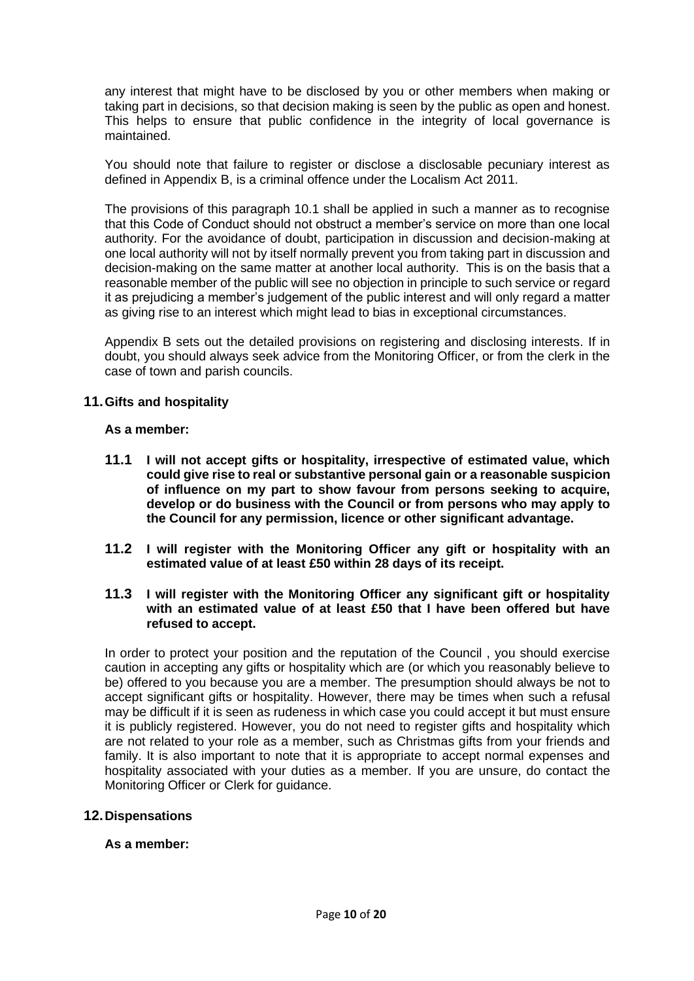any interest that might have to be disclosed by you or other members when making or taking part in decisions, so that decision making is seen by the public as open and honest. This helps to ensure that public confidence in the integrity of local governance is maintained.

You should note that failure to register or disclose a disclosable pecuniary interest as defined in Appendix B, is a criminal offence under the Localism Act 2011.

The provisions of this paragraph 10.1 shall be applied in such a manner as to recognise that this Code of Conduct should not obstruct a member's service on more than one local authority. For the avoidance of doubt, participation in discussion and decision-making at one local authority will not by itself normally prevent you from taking part in discussion and decision-making on the same matter at another local authority. This is on the basis that a reasonable member of the public will see no objection in principle to such service or regard it as prejudicing a member's judgement of the public interest and will only regard a matter as giving rise to an interest which might lead to bias in exceptional circumstances.

Appendix B sets out the detailed provisions on registering and disclosing interests. If in doubt, you should always seek advice from the Monitoring Officer, or from the clerk in the case of town and parish councils.

#### **11.Gifts and hospitality**

#### **As a member:**

- **11.1 I will not accept gifts or hospitality, irrespective of estimated value, which could give rise to real or substantive personal gain or a reasonable suspicion of influence on my part to show favour from persons seeking to acquire, develop or do business with the Council or from persons who may apply to the Council for any permission, licence or other significant advantage.**
- **11.2 I will register with the Monitoring Officer any gift or hospitality with an estimated value of at least £50 within 28 days of its receipt.**
- **11.3 I will register with the Monitoring Officer any significant gift or hospitality with an estimated value of at least £50 that I have been offered but have refused to accept.**

In order to protect your position and the reputation of the Council , you should exercise caution in accepting any gifts or hospitality which are (or which you reasonably believe to be) offered to you because you are a member. The presumption should always be not to accept significant gifts or hospitality. However, there may be times when such a refusal may be difficult if it is seen as rudeness in which case you could accept it but must ensure it is publicly registered. However, you do not need to register gifts and hospitality which are not related to your role as a member, such as Christmas gifts from your friends and family. It is also important to note that it is appropriate to accept normal expenses and hospitality associated with your duties as a member. If you are unsure, do contact the Monitoring Officer or Clerk for guidance.

#### **12.Dispensations**

#### **As a member:**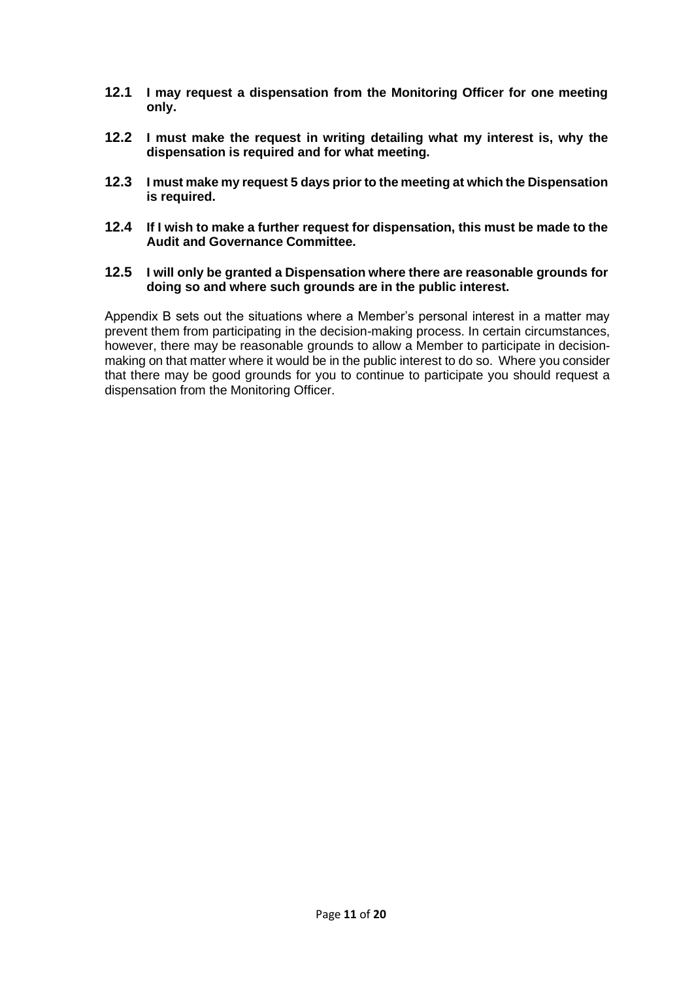- **12.1 I may request a dispensation from the Monitoring Officer for one meeting only.**
- **12.2 I must make the request in writing detailing what my interest is, why the dispensation is required and for what meeting.**
- **12.3 I must make my request 5 days prior to the meeting at which the Dispensation is required.**
- **12.4 If I wish to make a further request for dispensation, this must be made to the Audit and Governance Committee.**
- **12.5 I will only be granted a Dispensation where there are reasonable grounds for doing so and where such grounds are in the public interest.**

Appendix B sets out the situations where a Member's personal interest in a matter may prevent them from participating in the decision-making process. In certain circumstances, however, there may be reasonable grounds to allow a Member to participate in decisionmaking on that matter where it would be in the public interest to do so. Where you consider that there may be good grounds for you to continue to participate you should request a dispensation from the Monitoring Officer.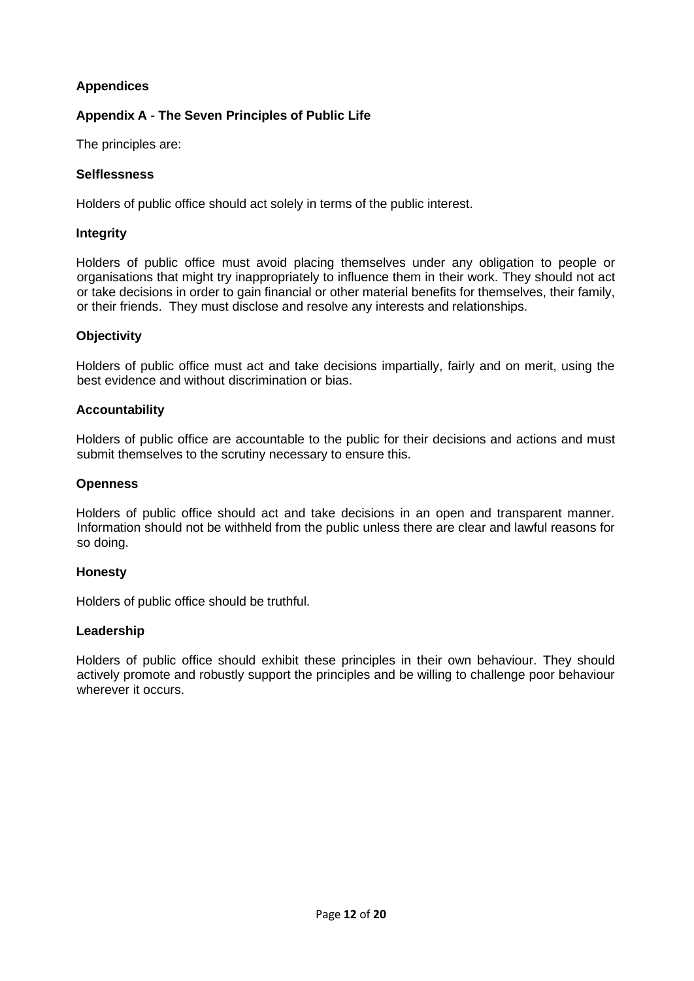## **Appendices**

## **Appendix A - The Seven Principles of Public Life**

The principles are:

## **Selflessness**

Holders of public office should act solely in terms of the public interest.

## **Integrity**

Holders of public office must avoid placing themselves under any obligation to people or organisations that might try inappropriately to influence them in their work. They should not act or take decisions in order to gain financial or other material benefits for themselves, their family, or their friends. They must disclose and resolve any interests and relationships.

## **Objectivity**

Holders of public office must act and take decisions impartially, fairly and on merit, using the best evidence and without discrimination or bias.

#### **Accountability**

Holders of public office are accountable to the public for their decisions and actions and must submit themselves to the scrutiny necessary to ensure this.

## **Openness**

Holders of public office should act and take decisions in an open and transparent manner. Information should not be withheld from the public unless there are clear and lawful reasons for so doing.

#### **Honesty**

Holders of public office should be truthful.

#### **Leadership**

Holders of public office should exhibit these principles in their own behaviour. They should actively promote and robustly support the principles and be willing to challenge poor behaviour wherever it occurs.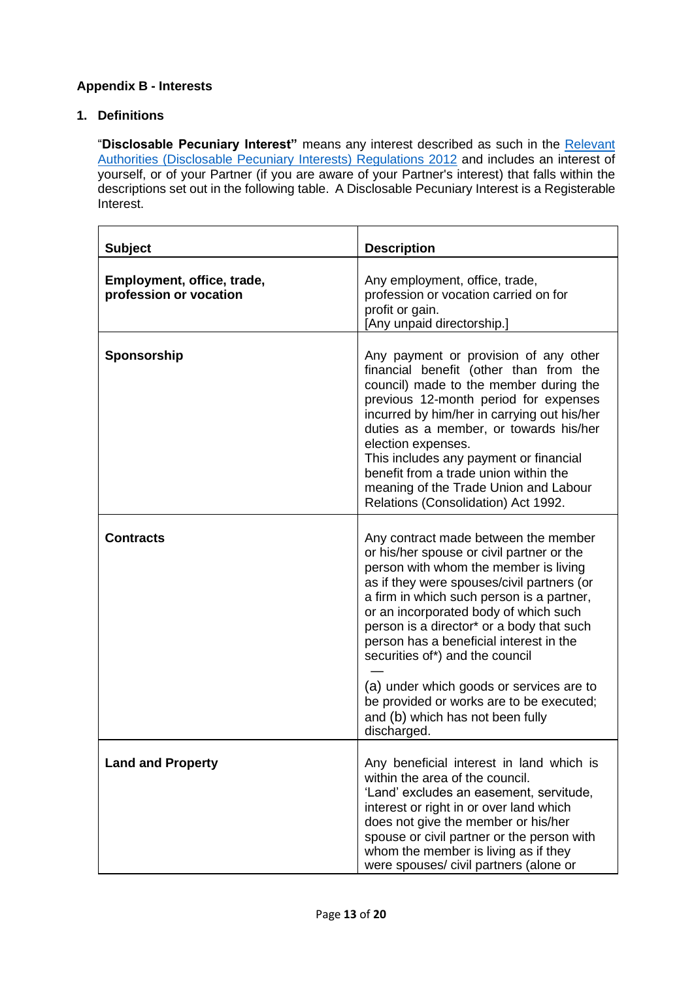## **Appendix B - Interests**

## **1. Definitions**

"**Disclosable Pecuniary Interest"** means any interest described as such in the [Relevant](https://www.legislation.gov.uk/uksi/2012/1464/made) [Authorities \(Disclosable Pecuniary Interests\) Regulations 2012](https://www.legislation.gov.uk/uksi/2012/1464/made) and includes an interest of yourself, or of your Partner (if you are aware of your Partner's interest) that falls within the descriptions set out in the following table. A Disclosable Pecuniary Interest is a Registerable Interest.

| <b>Subject</b>                                       | <b>Description</b>                                                                                                                                                                                                                                                                                                                                                                                                                                                                                                                   |
|------------------------------------------------------|--------------------------------------------------------------------------------------------------------------------------------------------------------------------------------------------------------------------------------------------------------------------------------------------------------------------------------------------------------------------------------------------------------------------------------------------------------------------------------------------------------------------------------------|
| Employment, office, trade,<br>profession or vocation | Any employment, office, trade,<br>profession or vocation carried on for<br>profit or gain.<br>[Any unpaid directorship.]                                                                                                                                                                                                                                                                                                                                                                                                             |
| Sponsorship                                          | Any payment or provision of any other<br>financial benefit (other than from the<br>council) made to the member during the<br>previous 12-month period for expenses<br>incurred by him/her in carrying out his/her<br>duties as a member, or towards his/her<br>election expenses.<br>This includes any payment or financial<br>benefit from a trade union within the<br>meaning of the Trade Union and Labour<br>Relations (Consolidation) Act 1992.                                                                                 |
| <b>Contracts</b>                                     | Any contract made between the member<br>or his/her spouse or civil partner or the<br>person with whom the member is living<br>as if they were spouses/civil partners (or<br>a firm in which such person is a partner,<br>or an incorporated body of which such<br>person is a director* or a body that such<br>person has a beneficial interest in the<br>securities of*) and the council<br>(a) under which goods or services are to<br>be provided or works are to be executed;<br>and (b) which has not been fully<br>discharged. |
| <b>Land and Property</b>                             | Any beneficial interest in land which is<br>within the area of the council.<br>'Land' excludes an easement, servitude,<br>interest or right in or over land which<br>does not give the member or his/her<br>spouse or civil partner or the person with<br>whom the member is living as if they<br>were spouses/ civil partners (alone or                                                                                                                                                                                             |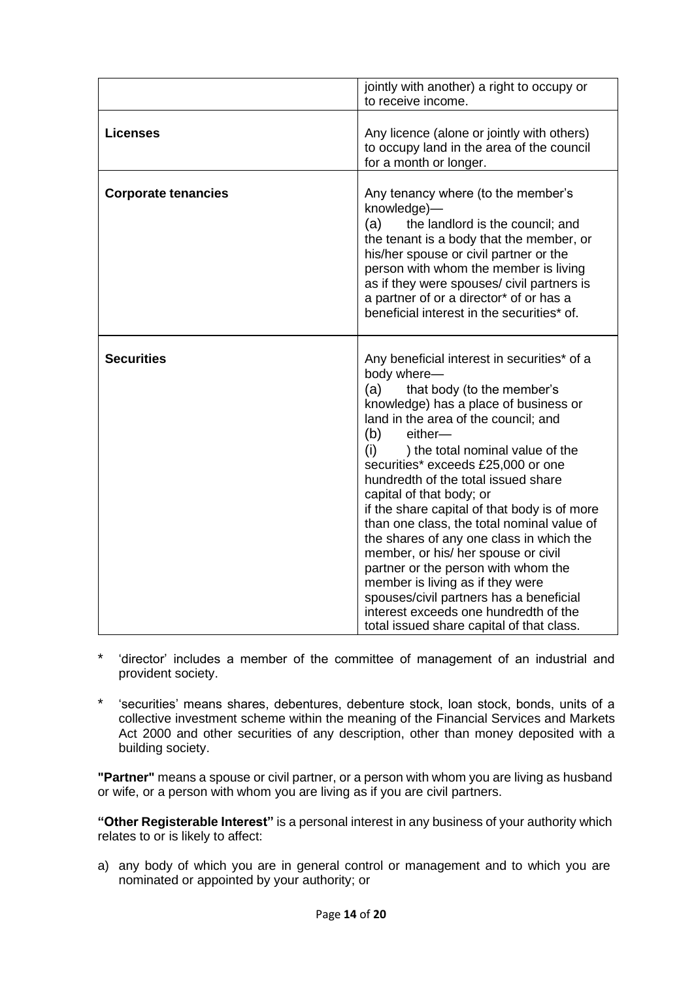|                            | jointly with another) a right to occupy or<br>to receive income.                                                                                                                                                                                                                                                                                                                                                                                                                                                                                                                                                                                                                                                                                    |
|----------------------------|-----------------------------------------------------------------------------------------------------------------------------------------------------------------------------------------------------------------------------------------------------------------------------------------------------------------------------------------------------------------------------------------------------------------------------------------------------------------------------------------------------------------------------------------------------------------------------------------------------------------------------------------------------------------------------------------------------------------------------------------------------|
| <b>Licenses</b>            | Any licence (alone or jointly with others)<br>to occupy land in the area of the council<br>for a month or longer.                                                                                                                                                                                                                                                                                                                                                                                                                                                                                                                                                                                                                                   |
| <b>Corporate tenancies</b> | Any tenancy where (to the member's<br>knowledge)-<br>(a)<br>the landlord is the council; and<br>the tenant is a body that the member, or<br>his/her spouse or civil partner or the<br>person with whom the member is living<br>as if they were spouses/ civil partners is<br>a partner of or a director* of or has a<br>beneficial interest in the securities* of.                                                                                                                                                                                                                                                                                                                                                                                  |
| <b>Securities</b>          | Any beneficial interest in securities* of a<br>body where-<br>(a)<br>that body (to the member's<br>knowledge) has a place of business or<br>land in the area of the council; and<br>(b)<br>either-<br>(i)<br>) the total nominal value of the<br>securities* exceeds £25,000 or one<br>hundredth of the total issued share<br>capital of that body; or<br>if the share capital of that body is of more<br>than one class, the total nominal value of<br>the shares of any one class in which the<br>member, or his/ her spouse or civil<br>partner or the person with whom the<br>member is living as if they were<br>spouses/civil partners has a beneficial<br>interest exceeds one hundredth of the<br>total issued share capital of that class. |

- \* 'director' includes a member of the committee of management of an industrial and provident society.
- \* 'securities' means shares, debentures, debenture stock, loan stock, bonds, units of a collective investment scheme within the meaning of the Financial Services and Markets Act 2000 and other securities of any description, other than money deposited with a building society.

**"Partner"** means a spouse or civil partner, or a person with whom you are living as husband or wife, or a person with whom you are living as if you are civil partners.

**"Other Registerable Interest"** is a personal interest in any business of your authority which relates to or is likely to affect:

a) any body of which you are in general control or management and to which you are nominated or appointed by your authority; or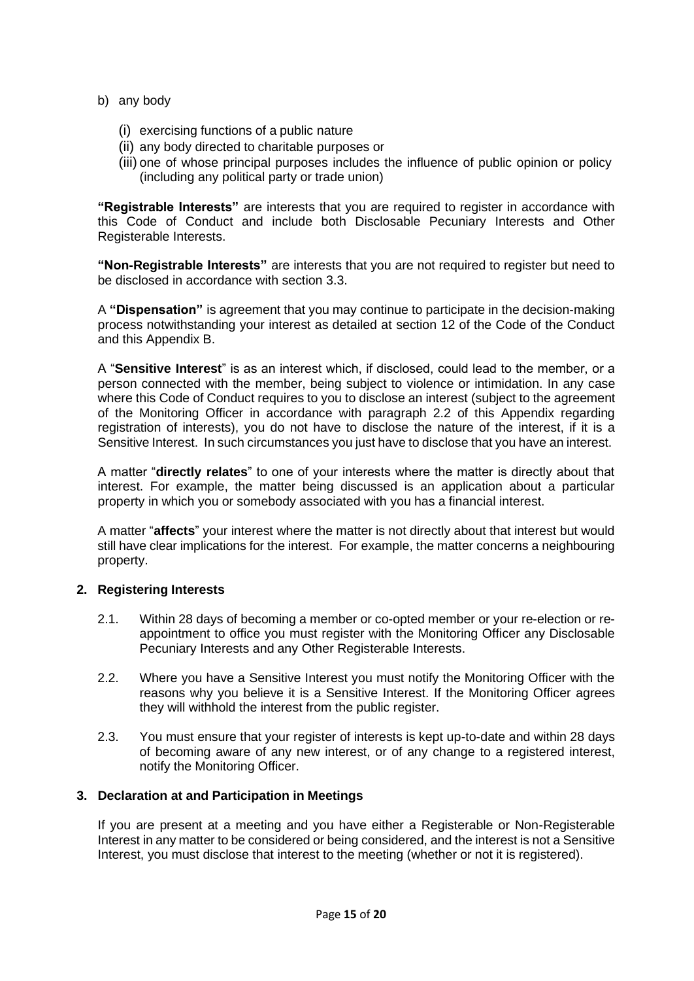- b) any body
	- (i) exercising functions of a public nature
	- (ii) any body directed to charitable purposes or
	- (iii) one of whose principal purposes includes the influence of public opinion or policy (including any political party or trade union)

**"Registrable Interests"** are interests that you are required to register in accordance with this Code of Conduct and include both Disclosable Pecuniary Interests and Other Registerable Interests.

**"Non-Registrable Interests"** are interests that you are not required to register but need to be disclosed in accordance with section 3.3.

A **"Dispensation"** is agreement that you may continue to participate in the decision-making process notwithstanding your interest as detailed at section 12 of the Code of the Conduct and this Appendix B.

A "**Sensitive Interest**" is as an interest which, if disclosed, could lead to the member, or a person connected with the member, being subject to violence or intimidation. In any case where this Code of Conduct requires to you to disclose an interest (subject to the agreement of the Monitoring Officer in accordance with paragraph 2.2 of this Appendix regarding registration of interests), you do not have to disclose the nature of the interest, if it is a Sensitive Interest. In such circumstances you just have to disclose that you have an interest.

A matter "**directly relates**" to one of your interests where the matter is directly about that interest. For example, the matter being discussed is an application about a particular property in which you or somebody associated with you has a financial interest.

A matter "**affects**" your interest where the matter is not directly about that interest but would still have clear implications for the interest. For example, the matter concerns a neighbouring property.

#### **2. Registering Interests**

- 2.1. Within 28 days of becoming a member or co-opted member or your re-election or reappointment to office you must register with the Monitoring Officer any Disclosable Pecuniary Interests and any Other Registerable Interests.
- 2.2. Where you have a Sensitive Interest you must notify the Monitoring Officer with the reasons why you believe it is a Sensitive Interest. If the Monitoring Officer agrees they will withhold the interest from the public register.
- 2.3. You must ensure that your register of interests is kept up-to-date and within 28 days of becoming aware of any new interest, or of any change to a registered interest, notify the Monitoring Officer.

#### **3. Declaration at and Participation in Meetings**

If you are present at a meeting and you have either a Registerable or Non-Registerable Interest in any matter to be considered or being considered, and the interest is not a Sensitive Interest, you must disclose that interest to the meeting (whether or not it is registered).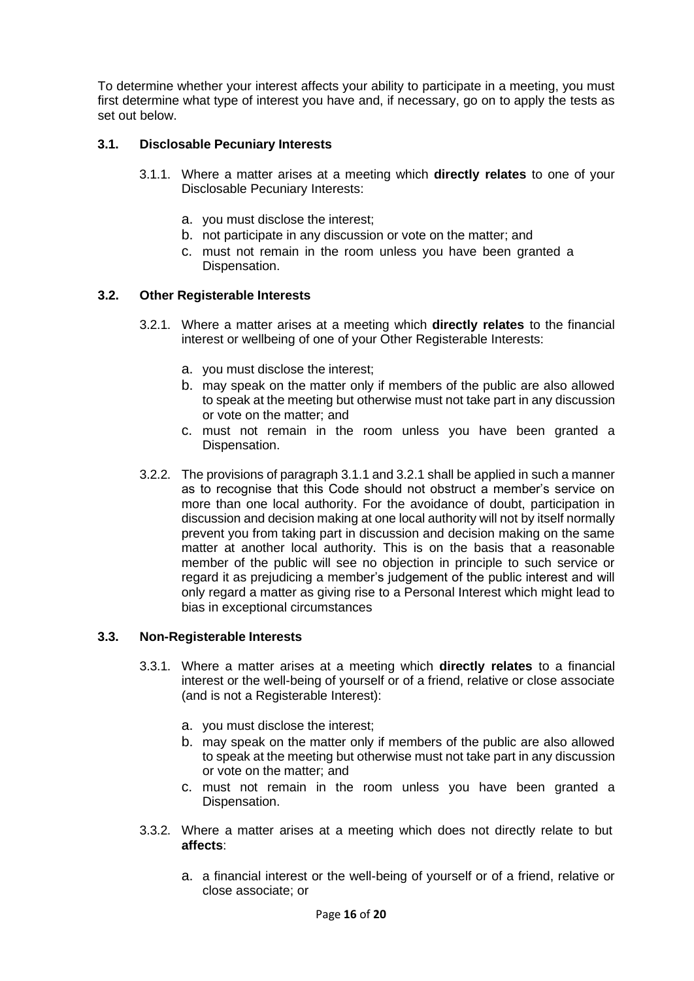To determine whether your interest affects your ability to participate in a meeting, you must first determine what type of interest you have and, if necessary, go on to apply the tests as set out below.

## **3.1. Disclosable Pecuniary Interests**

- 3.1.1. Where a matter arises at a meeting which **directly relates** to one of your Disclosable Pecuniary Interests:
	- a. you must disclose the interest;
	- b. not participate in any discussion or vote on the matter; and
	- c. must not remain in the room unless you have been granted a Dispensation.

#### **3.2. Other Registerable Interests**

- 3.2.1. Where a matter arises at a meeting which **directly relates** to the financial interest or wellbeing of one of your Other Registerable Interests:
	- a. you must disclose the interest;
	- b. may speak on the matter only if members of the public are also allowed to speak at the meeting but otherwise must not take part in any discussion or vote on the matter; and
	- c. must not remain in the room unless you have been granted a Dispensation.
- 3.2.2. The provisions of paragraph 3.1.1 and 3.2.1 shall be applied in such a manner as to recognise that this Code should not obstruct a member's service on more than one local authority. For the avoidance of doubt, participation in discussion and decision making at one local authority will not by itself normally prevent you from taking part in discussion and decision making on the same matter at another local authority. This is on the basis that a reasonable member of the public will see no objection in principle to such service or regard it as prejudicing a member's judgement of the public interest and will only regard a matter as giving rise to a Personal Interest which might lead to bias in exceptional circumstances

#### **3.3. Non-Registerable Interests**

- 3.3.1. Where a matter arises at a meeting which **directly relates** to a financial interest or the well-being of yourself or of a friend, relative or close associate (and is not a Registerable Interest):
	- a. you must disclose the interest;
	- b. may speak on the matter only if members of the public are also allowed to speak at the meeting but otherwise must not take part in any discussion or vote on the matter; and
	- c. must not remain in the room unless you have been granted a Dispensation.
- <span id="page-15-0"></span>3.3.2. Where a matter arises at a meeting which does not directly relate to but **affects**:
	- a. a financial interest or the well-being of yourself or of a friend, relative or close associate; or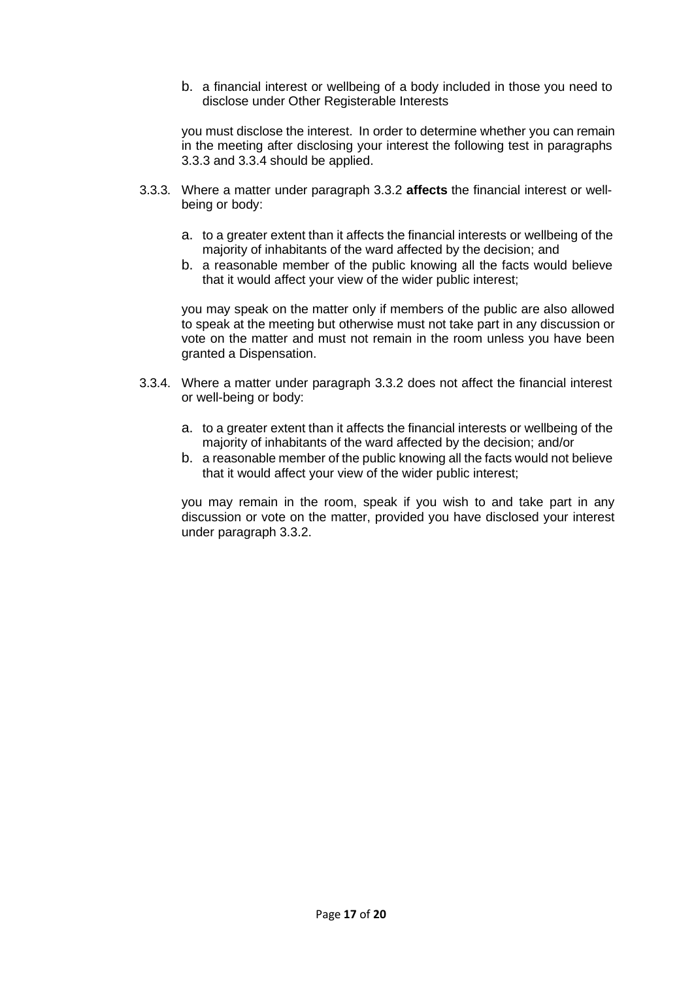b. a financial interest or wellbeing of a body included in those you need to disclose under Other Registerable Interests

you must disclose the interest. In order to determine whether you can remain in the meeting after disclosing your interest the following test in paragraphs [3.3.3](#page-16-0) and [3.3.4](#page-16-1) should be applied.

- <span id="page-16-0"></span>3.3.3. Where a matter under paragraph [3.3.2](#page-15-0) **affects** the financial interest or wellbeing or body:
	- a. to a greater extent than it affects the financial interests or wellbeing of the majority of inhabitants of the ward affected by the decision; and
	- b. a reasonable member of the public knowing all the facts would believe that it would affect your view of the wider public interest;

you may speak on the matter only if members of the public are also allowed to speak at the meeting but otherwise must not take part in any discussion or vote on the matter and must not remain in the room unless you have been granted a Dispensation.

- <span id="page-16-1"></span>3.3.4. Where a matter under paragraph [3.3.2](#page-15-0) does not affect the financial interest or well-being or body:
	- a. to a greater extent than it affects the financial interests or wellbeing of the majority of inhabitants of the ward affected by the decision; and/or
	- b. a reasonable member of the public knowing all the facts would not believe that it would affect your view of the wider public interest;

you may remain in the room, speak if you wish to and take part in any discussion or vote on the matter, provided you have disclosed your interest under paragraph [3.3.2.](#page-15-0)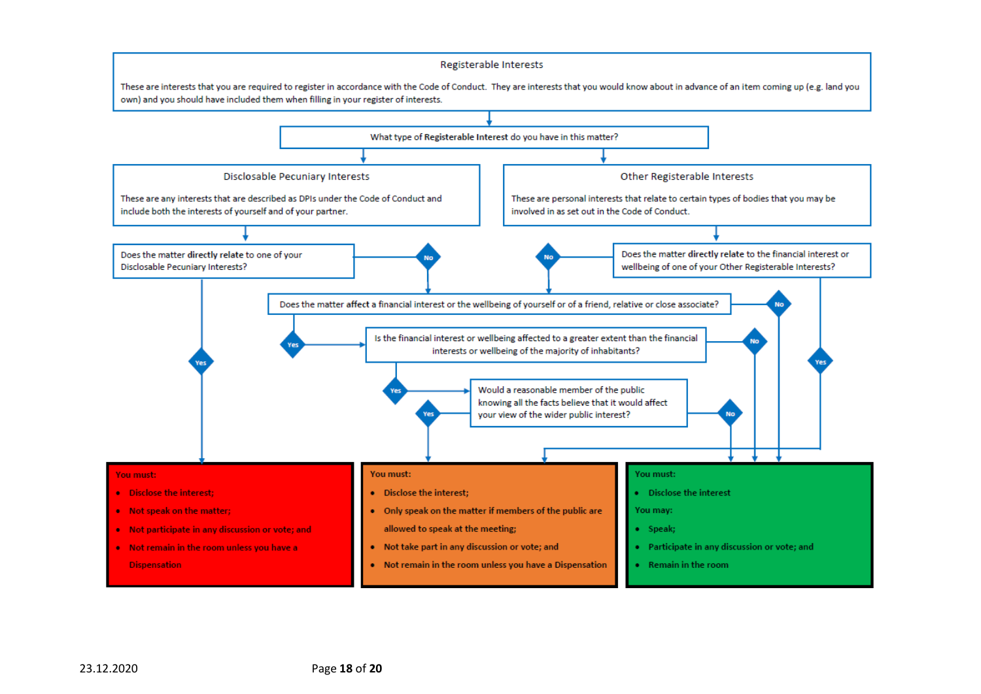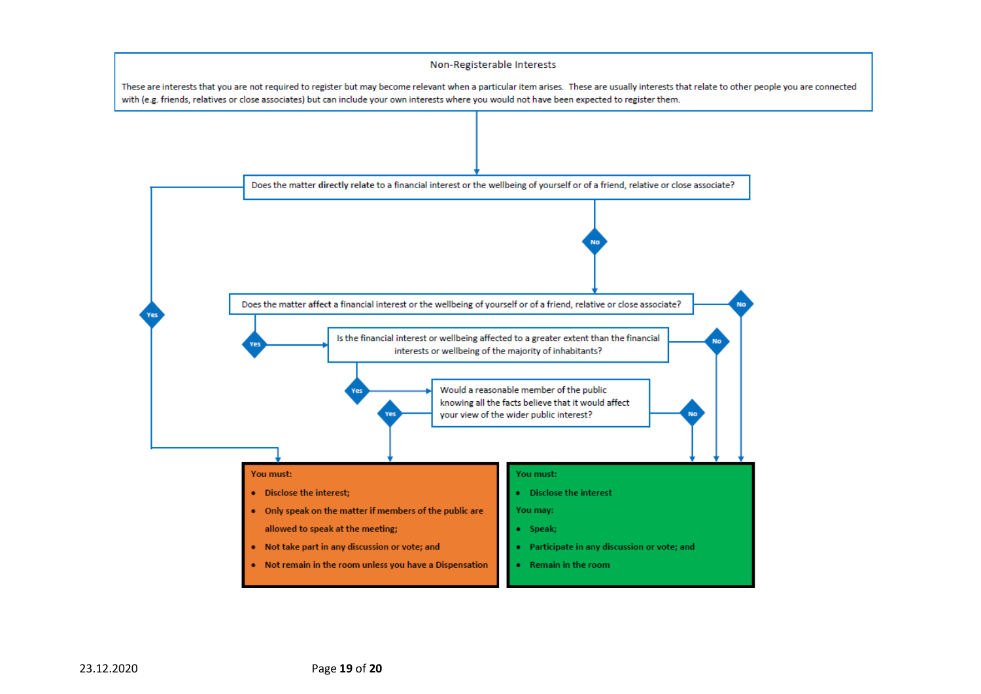#### Non-Registerable Interests

These are interests that you are not required to register but may become relevant when a particular item arises. These are usually interests that relate to other people you are connected with (e.g. friends, relatives or close associates) but can include your own interests where you would not have been expected to register them.

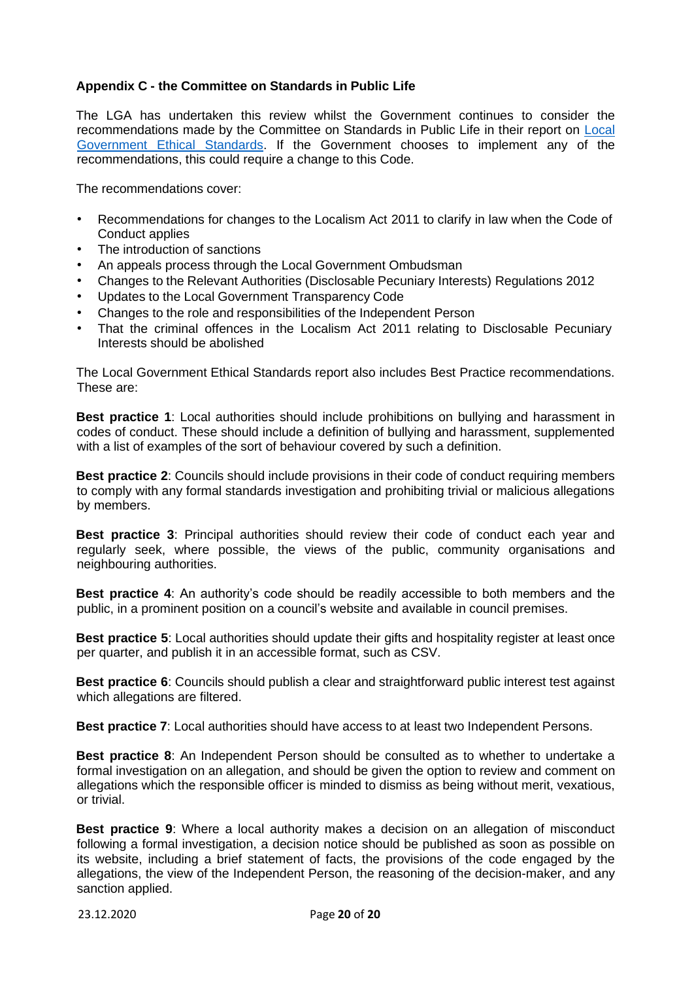## **Appendix C - the Committee on Standards in Public Life**

The LGA has undertaken this review whilst the Government continues to consider the recommendations made by the Committee on Standards in Public Life in their report on [Local](https://www.gov.uk/government/publications/local-government-ethical-standards-report) [Government](https://www.gov.uk/government/publications/local-government-ethical-standards-report) [Ethical](https://www.gov.uk/government/publications/local-government-ethical-standards-report) [Standards.](https://www.gov.uk/government/publications/local-government-ethical-standards-report) If the Government chooses to implement any of the recommendations, this could require a change to this Code.

The recommendations cover:

- Recommendations for changes to the Localism Act 2011 to clarify in law when the Code of Conduct applies
- The introduction of sanctions
- An appeals process through the Local Government Ombudsman
- Changes to the Relevant Authorities (Disclosable Pecuniary Interests) Regulations 2012
- Updates to the Local Government Transparency Code
- Changes to the role and responsibilities of the Independent Person
- That the criminal offences in the Localism Act 2011 relating to Disclosable Pecuniary Interests should be abolished

The Local Government Ethical Standards report also includes Best Practice recommendations. These are:

**Best practice 1**: Local authorities should include prohibitions on bullying and harassment in codes of conduct. These should include a definition of bullying and harassment, supplemented with a list of examples of the sort of behaviour covered by such a definition.

**Best practice 2**: Councils should include provisions in their code of conduct requiring members to comply with any formal standards investigation and prohibiting trivial or malicious allegations by members.

**Best practice 3**: Principal authorities should review their code of conduct each year and regularly seek, where possible, the views of the public, community organisations and neighbouring authorities.

**Best practice 4**: An authority's code should be readily accessible to both members and the public, in a prominent position on a council's website and available in council premises.

**Best practice 5**: Local authorities should update their gifts and hospitality register at least once per quarter, and publish it in an accessible format, such as CSV.

**Best practice 6**: Councils should publish a clear and straightforward public interest test against which allegations are filtered.

**Best practice 7**: Local authorities should have access to at least two Independent Persons.

**Best practice 8**: An Independent Person should be consulted as to whether to undertake a formal investigation on an allegation, and should be given the option to review and comment on allegations which the responsible officer is minded to dismiss as being without merit, vexatious, or trivial.

**Best practice 9**: Where a local authority makes a decision on an allegation of misconduct following a formal investigation, a decision notice should be published as soon as possible on its website, including a brief statement of facts, the provisions of the code engaged by the allegations, the view of the Independent Person, the reasoning of the decision-maker, and any sanction applied.